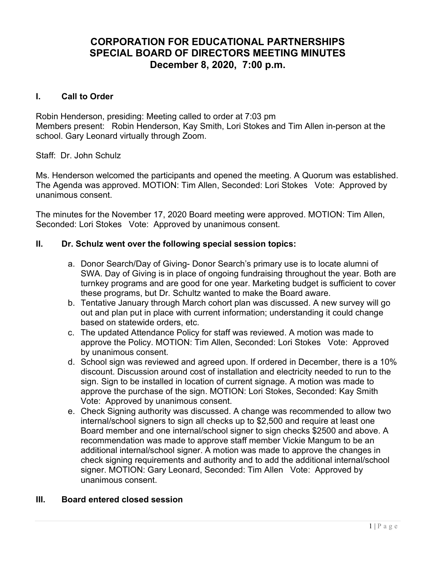# CORPORATION FOR EDUCATIONAL PARTNERSHIPS SPECIAL BOARD OF DIRECTORS MEETING MINUTES December 8, 2020, 7:00 p.m.

### I. Call to Order

Robin Henderson, presiding: Meeting called to order at 7:03 pm Members present: Robin Henderson, Kay Smith, Lori Stokes and Tim Allen in-person at the school. Gary Leonard virtually through Zoom.

Staff: Dr. John Schulz

Ms. Henderson welcomed the participants and opened the meeting. A Quorum was established. The Agenda was approved. MOTION: Tim Allen, Seconded: Lori Stokes Vote: Approved by unanimous consent.

The minutes for the November 17, 2020 Board meeting were approved. MOTION: Tim Allen, Seconded: Lori Stokes Vote: Approved by unanimous consent.

#### II. Dr. Schulz went over the following special session topics:

- a. Donor Search/Day of Giving- Donor Search's primary use is to locate alumni of SWA. Day of Giving is in place of ongoing fundraising throughout the year. Both are turnkey programs and are good for one year. Marketing budget is sufficient to cover these programs, but Dr. Schultz wanted to make the Board aware.
- b. Tentative January through March cohort plan was discussed. A new survey will go out and plan put in place with current information; understanding it could change based on statewide orders, etc.
- c. The updated Attendance Policy for staff was reviewed. A motion was made to approve the Policy. MOTION: Tim Allen, Seconded: Lori Stokes Vote: Approved by unanimous consent.
- d. School sign was reviewed and agreed upon. If ordered in December, there is a 10% discount. Discussion around cost of installation and electricity needed to run to the sign. Sign to be installed in location of current signage. A motion was made to approve the purchase of the sign. MOTION: Lori Stokes, Seconded: Kay Smith Vote: Approved by unanimous consent.
- e. Check Signing authority was discussed. A change was recommended to allow two internal/school signers to sign all checks up to \$2,500 and require at least one Board member and one internal/school signer to sign checks \$2500 and above. A recommendation was made to approve staff member Vickie Mangum to be an additional internal/school signer. A motion was made to approve the changes in check signing requirements and authority and to add the additional internal/school signer. MOTION: Gary Leonard, Seconded: Tim Allen Vote: Approved by unanimous consent.

### III. Board entered closed session